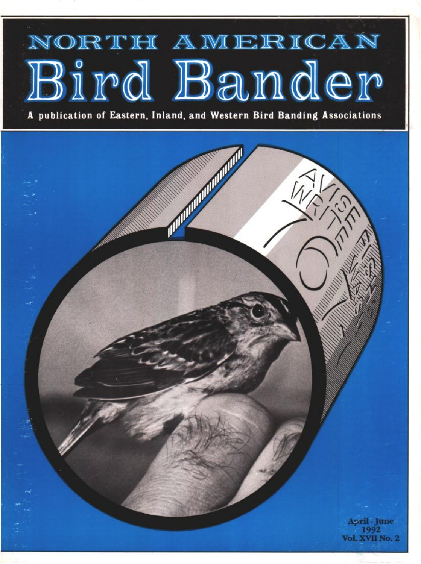

A publication of Eastern, Inland, and Western Bird Banding Associations